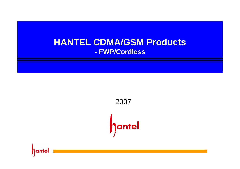# **- FWP/Cordless HANTEL CDMA/GSM Products**

2007hantel

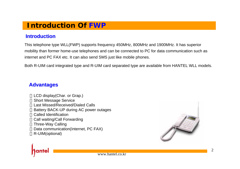# **Introduction Of FWP**

### **Introduction Introduction**

This telephone type WLL(FWP) supports frequency 450MHz, 800MHz and 1900MHz. It has superior mobility than former home-use telephones and can be connected to PC for data communication such as internet and PC FAX etc. It can also send SMS just like mobile phones.

Both R-UIM card integrated type and R-UIM card separated type are available from HANTEL WLL models.

### **Advantages Advantages**

LCD display(Char. or Grap.) Short Message Service Last Missed/Received/Dialed CallsBattery BACK-UP during AC power outages Called IdentificationCall waiting/Call Forwarding Three-Way Calling Data communication(Internet, PC FAX) R-UIM(optional)



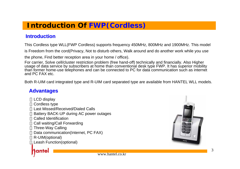# **Introduction Of FWP(Cordless)**

### **Introduction Introduction**

This Cordless type WLL(FWP Cordless) supports frequency 450MHz, 800MHz and 1900MHz. This model

is Freedom from the cord(Privacy, Not to disturb others, Walk around and do another work while you use

the phone, Find better reception area in your home / office).

For carrier, Solve cell/cluster restriction problem (free hand-off) technically and financially. Also Higher usage of data service by subscribers at home than conventional desk type FWP. It has superior mobility than former home-use telephones and can be connected to PC for data communication such as internet and PC FAX etc.

Both R-UIM card integrated type and R-UIM card separated type are available from HANTEL WLL models.

### **Advantages Advantages**

LCD display Cordless type Last Missed/Received/Dialed CallsBattery BACK-UP during AC power outages Called IdentificationCall waiting/Call Forwarding Three-Way Calling Data communication(Internet, PC FAX) R-UIM(optional) Leash Function(optional)

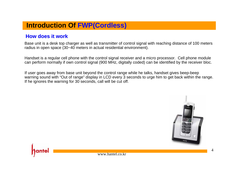# **Introduction Of FWP(Cordless)**

### **How does it work How does it work**

Base unit is a desk top charger as well as transmitter of control signal with reaching distance of 100 meters radius in open space (30~40 meters in actual residential environment).

Handset is a regular cell phone with the control signal receiver and a micro processor. Cell phone module can perform normally if own control signal (900 MHz, digitally coded) can be identified by the receiver bloc.

If user goes away from base unit beyond the control range while he talks, handset gives beep-beep warning sound with "Out of range" display in LCD every 3 seconds to urge him to get back within the range. If he ignores the warning for 30 seconds, call will be cut off.



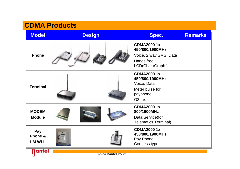# **CDMA Products**

| <b>Model</b>                    | <b>Design</b>    | Spec.                                                                                                    | <b>Remarks</b> |
|---------------------------------|------------------|----------------------------------------------------------------------------------------------------------|----------------|
| <b>Phone</b>                    |                  | <b>CDMA20001x</b><br>450/800/1900MHz<br>Voice, 2 way SMS, Data<br>Hands free<br>LCD(Char./Graph.)        |                |
| <b>Terminal</b>                 |                  | <b>CDMA20001x</b><br>450/800/1900MHz<br>Voice, Data<br>Meter pulse for<br>payphone<br>G <sub>3</sub> fax |                |
| <b>MODEM</b><br><b>Module</b>   |                  | <b>CDMA20001x</b><br>800/1900MHz<br>Data Service(for<br><b>Telematics Terminal)</b>                      |                |
| Pay<br>Phone &<br><b>LM WLL</b> |                  | <b>CDMA20001x</b><br>450/800/1900MHz<br>Pay Phone<br>Cordless type                                       |                |
| antel                           | www.hantel.co.kr |                                                                                                          |                |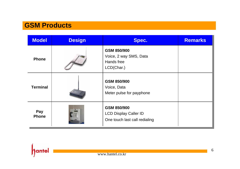# **GSM Products**

| <b>Model</b>        | <b>Design</b> | Spec.                                                                        | <b>Remarks</b> |
|---------------------|---------------|------------------------------------------------------------------------------|----------------|
| <b>Phone</b>        |               | GSM 850/900<br>Voice, 2 way SMS, Data<br>Hands free<br>LCD(Char.)            |                |
| <b>Terminal</b>     |               | GSM 850/900<br>Voice, Data<br>Meter pulse for payphone                       |                |
| Pay<br><b>Phone</b> |               | GSM 850/900<br><b>LCD Display Caller ID</b><br>One touch last call redialing |                |

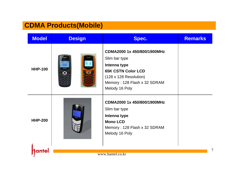# **CDMA Products(Mobile)**

IJ

| <b>Model</b>   | <b>Design</b> | Spec.                                                                                                                                                                 | <b>Remarks</b> |
|----------------|---------------|-----------------------------------------------------------------------------------------------------------------------------------------------------------------------|----------------|
| <b>HHP-100</b> |               | CDMA2000 1x 450/800/1900MHz<br>Slim bar type<br>Intenna type<br><b>65K CSTN Color LCD</b><br>(128 x 128 Resolution)<br>Memory: 128 Flash x 32 SDRAM<br>Melody 16 Poly |                |
| <b>HHP-200</b> |               | CDMA2000 1x 450/800/1900MHz<br>Slim bar type<br>Intenna type<br><b>Mono LCD</b><br>Memory: 128 Flash x 32 SDRAM<br>Melody 16 Poly                                     |                |
|                |               |                                                                                                                                                                       |                |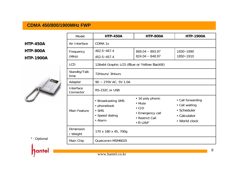### **CDMA 450/800/1900MHz FWP CDMA 450/800/1900MHz FWP**

Г

**HTP-450AHTP-800A HTP-1900A**



| Model                        | <b>HTP-450A</b>                                                                  | <b>HTP-800A</b>                                                                                        | <b>HTP-1900A</b>                                                                    |
|------------------------------|----------------------------------------------------------------------------------|--------------------------------------------------------------------------------------------------------|-------------------------------------------------------------------------------------|
| Air Interface                | CDMA 1x                                                                          |                                                                                                        |                                                                                     |
| Frequency<br>(MHz)           | 462.5~467.4<br>452.5~457.4                                                       | $869.04 - 893.97$<br>$824.04 \sim 848.97$                                                              | 1930~1990<br>1850~1910                                                              |
| <b>LCD</b>                   | 128x64 Graphic LCD (Blue or Yellow Backlit)                                      |                                                                                                        |                                                                                     |
| Standby/Talk<br>time         | 72Hours/ 3Hours                                                                  |                                                                                                        |                                                                                     |
| Adapter                      | 90 ~ 270V AC, 5V 1.0A                                                            |                                                                                                        |                                                                                     |
| Interface<br>Connector       | RS-232C or USB                                                                   |                                                                                                        |                                                                                     |
| Main Feature                 | • Broadcasting SMS<br>• phonebook<br>$\bullet$ SMS<br>• Speed dialing<br>• Alarm | • 16 poly phonic<br>• Mute<br>$\bullet$ CID<br>• Emergency call<br>• Restrict Call<br>$\bullet$ R-UIM* | • Call forwarding<br>• Call waiting<br>• Scheduler<br>• Calculator<br>• World clock |
| <b>Dimension</b><br>/ Weight | 170 x 180 x 45, 700g                                                             |                                                                                                        |                                                                                     |
| Main Chip                    | Qualcomm MSM6025                                                                 |                                                                                                        |                                                                                     |

 $\mathbf{I}$ 

\* : Optional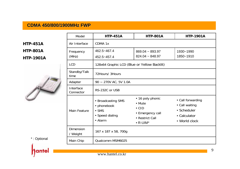### **CDMA 450/800/1900MHz FWP CDMA 450/800/1900MHz FWP**

**HTP-451AHTP-801A HTP-1901A**



| Model                              | <b>HTP-451A</b>                                                                  | <b>HTP-801A</b>                                                                                        | <b>HTP-1901A</b>                                                                    |
|------------------------------------|----------------------------------------------------------------------------------|--------------------------------------------------------------------------------------------------------|-------------------------------------------------------------------------------------|
| Air Interface                      | CDMA 1x                                                                          |                                                                                                        |                                                                                     |
| Frequency<br>(MHz)                 | 462.5~467.4<br>452.5~457.4                                                       | $869.04 \sim 893.97$<br>$824.04 - 848.97$                                                              | 1930~1990<br>1850~1910                                                              |
| <b>LCD</b><br>Standby/Talk<br>time | 128x64 Graphic LCD (Blue or Yellow Backlit)<br>72Hours/ 3Hours                   |                                                                                                        |                                                                                     |
| Adapter                            | $90 - 270V$ AC, 5V 1.0A                                                          |                                                                                                        |                                                                                     |
| Interface<br>Connector             | RS-232C or USB                                                                   |                                                                                                        |                                                                                     |
| Main Feature                       | • Broadcasting SMS<br>• phonebook<br>$\bullet$ SMS<br>• Speed dialing<br>• Alarm | • 16 poly phonic<br>• Mute<br>$\bullet$ CID<br>• Emergency call<br>• Restrict Call<br>$\bullet$ R-UIM* | • Call forwarding<br>• Call waiting<br>• Scheduler<br>• Calculator<br>• World clock |
| <b>Dimension</b><br>/ Weight       | 167 x 187 x 58, 700g                                                             |                                                                                                        |                                                                                     |
| Main Chip                          | Qualcomm MSM6025                                                                 |                                                                                                        |                                                                                     |

\* : Optional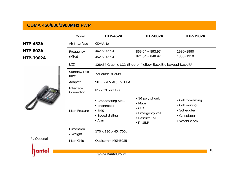### **CDMA 450/800/1900MHz FWP CDMA 450/800/1900MHz FWP**

**HTP-452AHTP-802A**

### **HTP-1902A**



|    | Main Feature          | • phonebook<br>$\bullet$ SMS<br>• Speed dialing<br>• Alarm |
|----|-----------------------|------------------------------------------------------------|
|    | Dimension<br>/ Weight | 170 x 180 x 45, 700g                                       |
| al | Main Chip             | Qualcomm MSM6025                                           |

Т

| Model                  | <b>HTP-452A</b>                                                                  | <b>HTP-802A</b>                                                                                        | <b>HTP-1902A</b>                                                                    |
|------------------------|----------------------------------------------------------------------------------|--------------------------------------------------------------------------------------------------------|-------------------------------------------------------------------------------------|
| Air Interface          | CDMA 1x                                                                          |                                                                                                        |                                                                                     |
| Frequency<br>(MHz)     | 462.5~467.4<br>452.5~457.4                                                       | $869.04 \sim 893.97$<br>$824.04 - 848.97$                                                              | 1930~1990<br>1850~1910                                                              |
| LCD                    |                                                                                  | 128x64 Graphic LCD (Blue or Yellow Backlit), keypad backlit*                                           |                                                                                     |
| Standby/Talk<br>time   | 72Hours/ 3Hours                                                                  |                                                                                                        |                                                                                     |
| Adapter                | 90 ~ 270V AC, 5V 1.0A                                                            |                                                                                                        |                                                                                     |
| Interface<br>Connector | RS-232C or USB                                                                   |                                                                                                        |                                                                                     |
| Main Feature           | • Broadcasting SMS<br>• phonebook<br>$\bullet$ SMS<br>• Speed dialing<br>• Alarm | • 16 poly phonic<br>• Mute<br>$\bullet$ CID<br>• Emergency call<br>• Restrict Call<br>$\bullet$ R-UIM* | • Call forwarding<br>• Call waiting<br>• Scheduler<br>• Calculator<br>• World clock |
| Dimension<br>/ Weight  | 170 x 180 x 45, 700g                                                             |                                                                                                        |                                                                                     |
| Main Chip              | Qualcomm MSM6025                                                                 |                                                                                                        |                                                                                     |
|                        |                                                                                  |                                                                                                        |                                                                                     |

Т

-

\* : Optional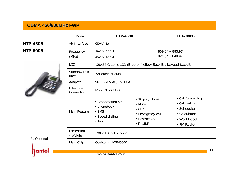### **CDMA 450/800MHz FWP CDMA 450/800MHz FWP**

**HTP-450BHTP-800B**



| Model                  | <b>HTP-450B</b>                                                                          |                                                                                                        | <b>HTP-800B</b>                                                                                    |  |
|------------------------|------------------------------------------------------------------------------------------|--------------------------------------------------------------------------------------------------------|----------------------------------------------------------------------------------------------------|--|
| Air Interface          | CDMA 1x                                                                                  |                                                                                                        |                                                                                                    |  |
| Frequency<br>(MHz)     | 462.5~467.4<br>452.5~457.4                                                               |                                                                                                        | $869.04 - 893.97$<br>$824.04 \approx 848.97$                                                       |  |
| <b>LCD</b>             | 128x64 Graphic LCD (Blue or Yellow Backlit), keypad backlit                              |                                                                                                        |                                                                                                    |  |
| Standby/Talk<br>time   | 72Hours/ 3Hours                                                                          |                                                                                                        |                                                                                                    |  |
| Adapter                | 90 ~ 270V AC, 5V 1.0A                                                                    |                                                                                                        |                                                                                                    |  |
| Interface<br>Connector | RS-232C or USB                                                                           |                                                                                                        |                                                                                                    |  |
| Main Feature           | • Broadcasting SMS<br>• phonebook<br>$\bullet$ SMS<br>• Speed dialing<br>$\bullet$ Alarm | • 16 poly phonic<br>• Mute<br>$\bullet$ CID<br>• Emergency call<br>• Restrict Call<br>$\bullet$ R-UIM* | • Call forwarding<br>• Call waiting<br>• Scheduler<br>• Calculator<br>• World clock<br>• FM Radio* |  |
| Dimension<br>/ Weight  | 190 x 160 x 65, 650g                                                                     |                                                                                                        |                                                                                                    |  |
| Main Chip              | Qualcomm MSM6000                                                                         |                                                                                                        |                                                                                                    |  |
|                        |                                                                                          |                                                                                                        | 11                                                                                                 |  |

\* : Optional

ante

r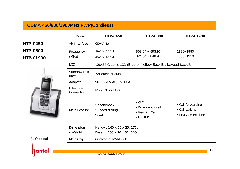### **CDMA 450/800/1900MHz FWP(Cordless) CDMA 450/800/1900MHz FWP(Cordless)**

**HTP-C450HTP-C800**

### **HTP-C1900**



| *: Optional |
|-------------|
|             |

| Model                        | <b>HTP-C450</b>                                          | <b>HTP-C800</b>                                                          | <b>HTP-C1900</b>                                         |
|------------------------------|----------------------------------------------------------|--------------------------------------------------------------------------|----------------------------------------------------------|
| Air Interface                | CDMA 1x                                                  |                                                                          |                                                          |
| Frequency<br>(MHz)           | 462.5~467.4<br>452.5~457.4                               | $869.04 - 893.97$<br>$824.04 \sim 848.97$                                | 1930~1990<br>1850~1910                                   |
| <b>LCD</b>                   |                                                          | 128x64 Graphic LCD (Blue or Yellow Backlit), keypad backlit              |                                                          |
| Standby/Talk<br>time         | 72Hours/ 3Hours                                          |                                                                          |                                                          |
| Adapter                      | $90 \sim 270V$ AC, 5V 1.0A                               |                                                                          |                                                          |
| Interface<br>Connector       | RS-232C or USB                                           |                                                                          |                                                          |
| Main Feature                 | • phonebook<br>• Speed dialing<br>• Alarm                | $\bullet$ CID<br>• Emergency call<br>• Restrict Call<br>$\bullet$ R-UIM* | • Call forwarding<br>• Call waiting<br>• Leash Function* |
| <b>Dimension</b><br>/ Weight | Handy: 160 x 50 x 25, 175g<br>Base : 130 x 96 x 87, 140g |                                                                          |                                                          |
| Main Chip                    | Qualcomm MSM6000                                         |                                                                          |                                                          |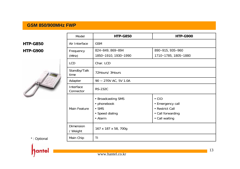### **GSM 850/900MHz FWP GSM 850/900MHz FWP**

**HTP-G850HTP-G900**



| Model                        | <b>HTP-G850</b>       | <b>HTP-G900</b>      |  |
|------------------------------|-----------------------|----------------------|--|
| Air Interface                | <b>GSM</b>            |                      |  |
| Frequency                    | 824~849, 869~894      | 890~915, 935~960     |  |
| (MHz)                        | 1850~1910, 1930~1990  | 1710~1785, 1805~1880 |  |
| <b>LCD</b>                   | Char. LCD             |                      |  |
| Standby/Talk<br>time         | 72Hours/ 3Hours       |                      |  |
| Adapter                      | 90 ~ 270V AC, 5V 1.0A |                      |  |
| Interface<br>Connector       | <b>RS-232C</b>        |                      |  |
|                              | • Broadcasting SMS    | $\bullet$ CID        |  |
|                              | • phonebook           | • Emergency call     |  |
| <b>Main Feature</b>          | $\bullet$ SMS         | • Restrict Call      |  |
|                              | • Speed dialing       | • Call forwarding    |  |
|                              | • Alarm               | • Call waiting       |  |
| <b>Dimension</b><br>/ Weight | 167 x 187 x 58, 700g  |                      |  |
| Main Chip                    | ΤI                    |                      |  |

\* : Optional

ante

n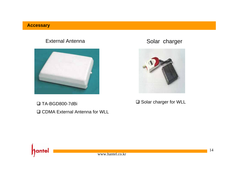### **Accessary**

### External Antenna



### □ TA-BGD800-7dBi

■ CDMA External Antenna for WLL

## Solar charger



### $\square$  Solar charger for WLL



www.hantel.co.kr